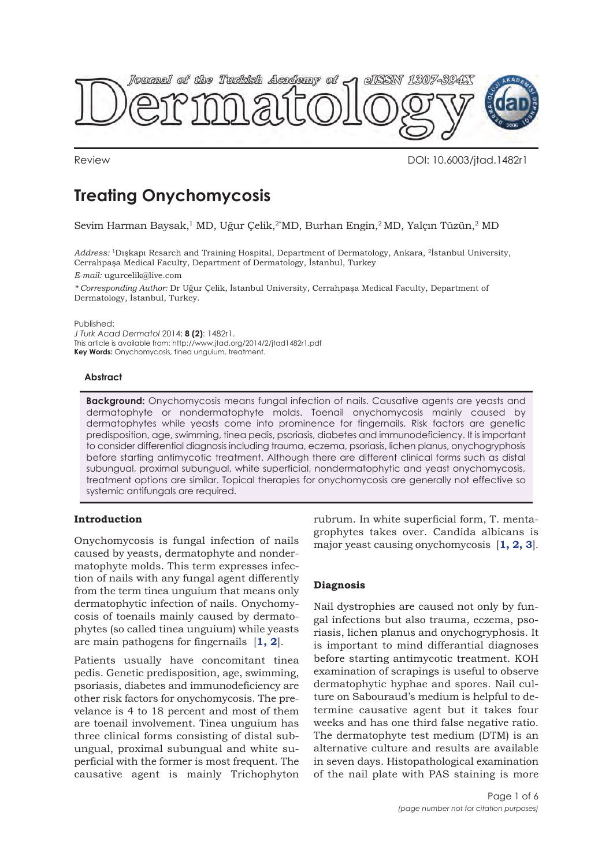

Review DOI: 10.6003/jtad.1482r1

# **Treating Onychomycosis**

Sevim Harman Baysak,<sup>1</sup> MD, Uğur Çelik,<sup>2\*</sup>MD, Burhan Engin,<sup>2</sup> MD, Yalçın Tüzün,<sup>2</sup> MD

*Address:* 1Dışkapı Resarch and Training Hospital, Department of Dermatology, Ankara, 2İstanbul University, Cerrahpaşa Medical Faculty, Department of Dermatology, İstanbul, Turkey

*E-mail:* ugurcelik@live.com

*\* Corresponding Author:* Dr Uğur Çelik, İstanbul University, Cerrahpaşa Medical Faculty, Department of Dermatology, İstanbul, Turkey.

Published:

*J Turk Acad Dermatol* 2014; **8 (2)**: 1482r1. This article is available from: http://www.jtad.org/2014/2/jtad1482r1.pdf **Key Words:** Onychomycosis, tinea unguium, treatment.

## **Abstract**

**Background:** Onychomycosis means fungal infection of nails. Causative agents are yeasts and dermatophyte or nondermatophyte molds. Toenail onychomycosis mainly caused by dermatophytes while yeasts come into prominence for fingernails. Risk factors are genetic predisposition, age, swimming, tinea pedis, psoriasis, diabetes and immunodeficiency. It is important to consider differential diagnosis including trauma, eczema, psoriasis, lichen planus, onychogryphosis before starting antimycotic treatment. Although there are different clinical forms such as distal subungual, proximal subungual, white superficial, nondermatophytic and yeast onychomycosis, treatment options are similar. Topical therapies for onychomycosis are generally not effective so systemic antifungals are required.

# **Introduction**

Onychomycosis is fungal infection of nails caused by yeasts, dermatophyte and nondermatophyte molds. This term expresses infection of nails with any fungal agent differently from the term tinea unguium that means only dermatophytic infection of nails. Onychomycosis of toenails mainly caused by dermatophytes (so called tinea unguium) while yeasts are main pathogens for fingernails [**1, 2**].

Patients usually have concomitant tinea pedis. Genetic predisposition, age, swimming, psoriasis, diabetes and immunodeficiency are other risk factors for onychomycosis. The prevelance is 4 to 18 percent and most of them are toenail involvement. Tinea unguium has three clinical forms consisting of distal subungual, proximal subungual and white superficial with the former is most frequent. The causative agent is mainly Trichophyton rubrum. In white superficial form, T. mentagrophytes takes over. Candida albicans is major yeast causing onychomycosis [**1, 2, 3**].

# **Diagnosis**

Nail dystrophies are caused not only by fungal infections but also trauma, eczema, psoriasis, lichen planus and onychogryphosis. It is important to mind differantial diagnoses before starting antimycotic treatment. KOH examination of scrapings is useful to observe dermatophytic hyphae and spores. Nail culture on Sabouraud's medium is helpful to determine causative agent but it takes four weeks and has one third false negative ratio. The dermatophyte test medium (DTM) is an alternative culture and results are available in seven days. Histopathological examination of the nail plate with PAS staining is more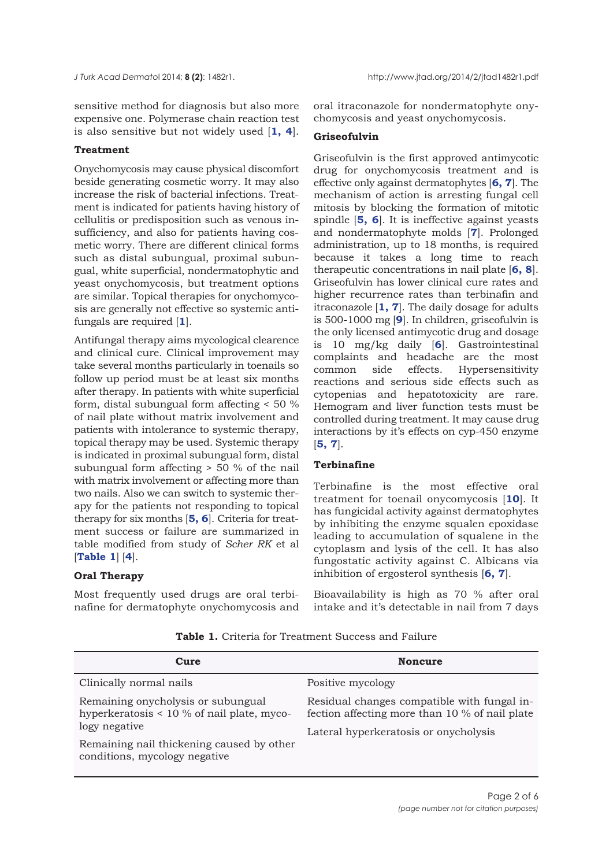sensitive method for diagnosis but also more expensive one. Polymerase chain reaction test is also sensitive but not widely used [**1, 4**].

## **Treatment**

Onychomycosis may cause physical discomfort beside generating cosmetic worry. It may also increase the risk of bacterial infections. Treatment is indicated for patients having history of cellulitis or predisposition such as venous insufficiency, and also for patients having cosmetic worry. There are different clinical forms such as distal subungual, proximal subungual, white superficial, nondermatophytic and yeast onychomycosis, but treatment options are similar. Topical therapies for onychomycosis are generally not effective so systemic antifungals are required [**1**].

Antifungal therapy aims mycological clearence and clinical cure. Clinical improvement may take several months particularly in toenails so follow up period must be at least six months after therapy. In patients with white superficial form, distal subungual form affecting < 50 % of nail plate without matrix involvement and patients with intolerance to systemic therapy, topical therapy may be used. Systemic therapy is indicated in proximal subungual form, distal subungual form affecting > 50 % of the nail with matrix involvement or affecting more than two nails. Also we can switch to systemic therapy for the patients not responding to topical therapy for six months [**5, 6**]. Criteria for treatment success or failure are summarized in table modified from study of *Scher RK* et al [**Table 1**] [**4**].

# **Oral Therapy**

Most frequently used drugs are oral terbinafine for dermatophyte onychomycosis and oral itraconazole for nondermatophyte onychomycosis and yeast onychomycosis.

# **Griseofulvin**

Griseofulvin is the first approved antimycotic drug for onychomycosis treatment and is effective only against dermatophytes [**6, 7**]. The mechanism of action is arresting fungal cell mitosis by blocking the formation of mitotic spindle [**5, 6**]. It is ineffective against yeasts and nondermatophyte molds [**7**]. Prolonged administration, up to 18 months, is required because it takes a long time to reach therapeutic concentrations in nail plate [**6, 8**]. Griseofulvin has lower clinical cure rates and higher recurrence rates than terbinafin and itraconazole [**1, 7**]. The daily dosage for adults is 500-1000 mg [**9**]. In children, griseofulvin is the only licensed antimycotic drug and dosage is 10 mg/kg daily [**6**]. Gastrointestinal complaints and headache are the most common side effects. Hypersensitivity reactions and serious side effects such as cytopenias and hepatotoxicity are rare. Hemogram and liver function tests must be controlled during treatment. It may cause drug interactions by it's effects on cyp-450 enzyme [**5, 7**].

#### **Terbinafine**

Terbinafine is the most effective oral treatment for toenail onycomycosis [**10**]. It has fungicidal activity against dermatophytes by inhibiting the enzyme squalen epoxidase leading to accumulation of squalene in the cytoplasm and lysis of the cell. It has also fungostatic activity against C. Albicans via inhibition of ergosterol synthesis [**6, 7**].

Bioavailability is high as 70 % after oral intake and it's detectable in nail from 7 days

| Cure                                                                                                                                                                              | <b>Noncure</b>                                                                                                                         |
|-----------------------------------------------------------------------------------------------------------------------------------------------------------------------------------|----------------------------------------------------------------------------------------------------------------------------------------|
| Clinically normal nails                                                                                                                                                           | Positive mycology                                                                                                                      |
| Remaining onycholysis or subungual<br>hyperkeratosis $< 10$ % of nail plate, myco-<br>logy negative<br>Remaining nail thickening caused by other<br>conditions, mycology negative | Residual changes compatible with fungal in-<br>fection affecting more than 10 % of nail plate<br>Lateral hyperkeratosis or onycholysis |

**Table 1.** Criteria for Treatment Success and Failure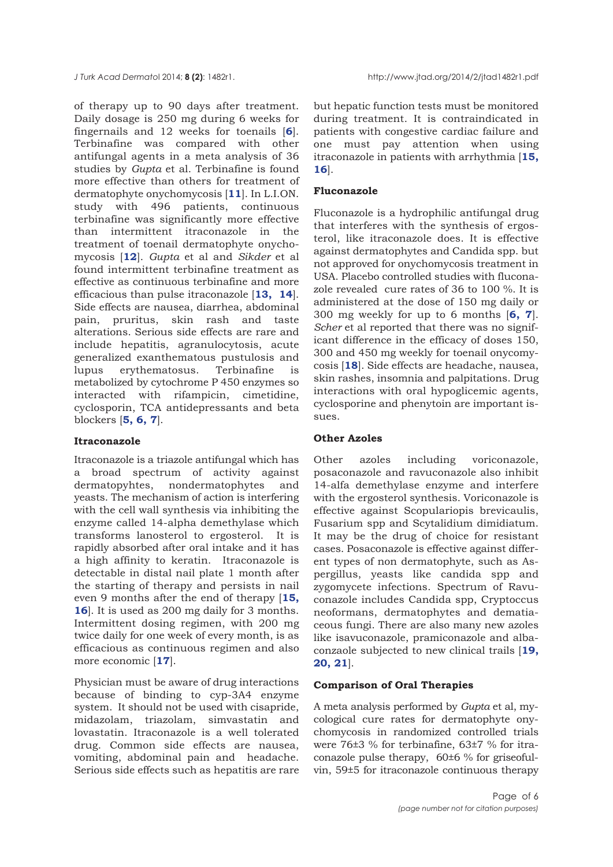of therapy up to 90 days after treatment. Daily dosage is 250 mg during 6 weeks for fingernails and 12 weeks for toenails [**6**]. Terbinafine was compared with other antifungal agents in a meta analysis of 36 studies by *Gupta* et al. Terbinafine is found more effective than others for treatment of dermatophyte onychomycosis [**11**]. In L.I.ON. study with 496 patients, continuous terbinafine was significantly more effective than intermittent itraconazole in the treatment of toenail dermatophyte onychomycosis [**12**]. *Gupta* et al and *Sikder* et al found intermittent terbinafine treatment as effective as continuous terbinafine and more efficacious than pulse itraconazole [**13, 14**]. Side effects are nausea, diarrhea, abdominal pain, pruritus, skin rash and taste alterations. Serious side effects are rare and include hepatitis, agranulocytosis, acute generalized exanthematous pustulosis and lupus erythematosus. Terbinafine is metabolized by cytochrome P 450 enzymes so interacted with rifampicin, cimetidine, cyclosporin, TCA antidepressants and beta blockers [**5, 6, 7**].

## **Itraconazole**

Itraconazole is a triazole antifungal which has a broad spectrum of activity against dermatopyhtes, nondermatophytes and yeasts. The mechanism of action is interfering with the cell wall synthesis via inhibiting the enzyme called 14-alpha demethylase which transforms lanosterol to ergosterol. It is rapidly absorbed after oral intake and it has a high affinity to keratin. Itraconazole is detectable in distal nail plate 1 month after the starting of therapy and persists in nail even 9 months after the end of therapy [**15, 16**]. It is used as 200 mg daily for 3 months. Intermittent dosing regimen, with 200 mg twice daily for one week of every month, is as efficacious as continuous regimen and also more economic [**17**].

Physician must be aware of drug interactions because of binding to cyp-3A4 enzyme system. It should not be used with cisapride, midazolam, triazolam, simvastatin and lovastatin. Itraconazole is a well tolerated drug. Common side effects are nausea, vomiting, abdominal pain and headache. Serious side effects such as hepatitis are rare

but hepatic function tests must be monitored during treatment. It is contraindicated in patients with congestive cardiac failure and one must pay attention when using itraconazole in patients with arrhythmia [**15, 16**].

# **Fluconazole**

Fluconazole is a hydrophilic antifungal drug that interferes with the synthesis of ergosterol, like itraconazole does. It is effective against dermatophytes and Candida spp. but not approved for onychomycosis treatment in USA. Placebo controlled studies with fluconazole revealed cure rates of 36 to 100 %. It is administered at the dose of 150 mg daily or 300 mg weekly for up to 6 months [**6, 7**]. *Scher* et al reported that there was no significant difference in the efficacy of doses 150, 300 and 450 mg weekly for toenail onycomycosis [**18**]. Side effects are headache, nausea, skin rashes, insomnia and palpitations. Drug interactions with oral hypoglicemic agents, cyclosporine and phenytoin are important issues.

# **Other Azoles**

Other azoles including voriconazole, posaconazole and ravuconazole also inhibit 14-alfa demethylase enzyme and interfere with the ergosterol synthesis. Voriconazole is effective against Scopulariopis brevicaulis, Fusarium spp and Scytalidium dimidiatum. It may be the drug of choice for resistant cases. Posaconazole is effective against different types of non dermatophyte, such as Aspergillus, yeasts like candida spp and zygomycete infections. Spectrum of Ravuconazole includes Candida spp, Cryptoccus neoformans, dermatophytes and dematiaceous fungi. There are also many new azoles like isavuconazole, pramiconazole and albaconzaole subjected to new clinical trails [**19, 20, 21**].

# **Comparison of Oral Therapies**

A meta analysis performed by *Gupta* et al, mycological cure rates for dermatophyte onychomycosis in randomized controlled trials were 76±3 % for terbinafine, 63±7 % for itraconazole pulse therapy, 60±6 % for griseofulvin, 59±5 for itraconazole continuous therapy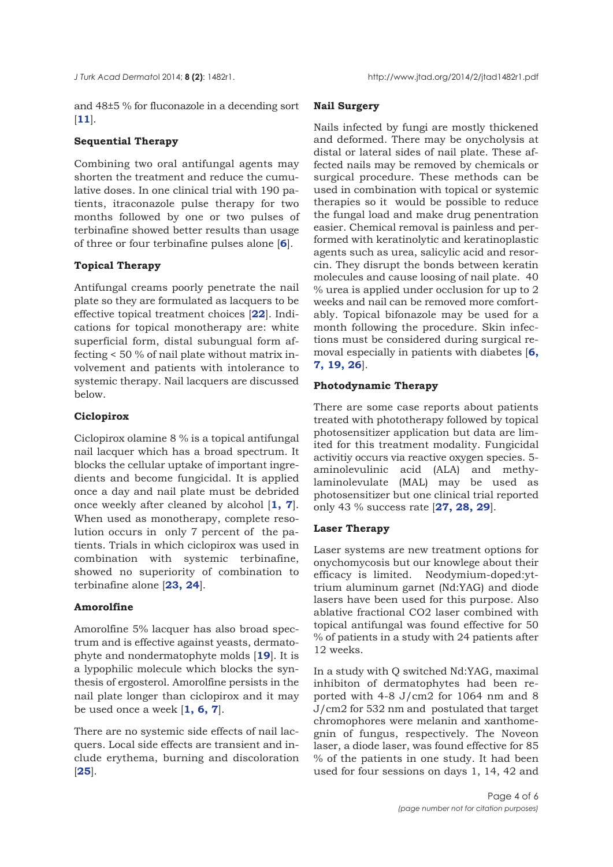and 48±5 % for fluconazole in a decending sort [**11**].

# **Sequential Therapy**

Combining two oral antifungal agents may shorten the treatment and reduce the cumulative doses. In one clinical trial with 190 patients, itraconazole pulse therapy for two months followed by one or two pulses of terbinafine showed better results than usage of three or four terbinafine pulses alone [**6**].

# **Topical Therapy**

Antifungal creams poorly penetrate the nail plate so they are formulated as lacquers to be effective topical treatment choices [**22**]. Indications for topical monotherapy are: white superficial form, distal subungual form affecting < 50 % of nail plate without matrix involvement and patients with intolerance to systemic therapy. Nail lacquers are discussed below.

## **Ciclopirox**

Ciclopirox olamine 8 % is a topical antifungal nail lacquer which has a broad spectrum. It blocks the cellular uptake of important ingredients and become fungicidal. It is applied once a day and nail plate must be debrided once weekly after cleaned by alcohol [**1, 7**]. When used as monotherapy, complete resolution occurs in only 7 percent of the patients. Trials in which ciclopirox was used in combination with systemic terbinafine, showed no superiority of combination to terbinafine alone [**23, 24**].

# **Amorolfine**

Amorolfine 5% lacquer has also broad spectrum and is effective against yeasts, dermatophyte and nondermatophyte molds [**19**]. It is a lypophilic molecule which blocks the synthesis of ergosterol. Amorolfine persists in the nail plate longer than ciclopirox and it may be used once a week [**1, 6, 7**].

There are no systemic side effects of nail lacquers. Local side effects are transient and include erythema, burning and discoloration [**25**].

# **Nail Surgery**

Nails infected by fungi are mostly thickened and deformed. There may be onycholysis at distal or lateral sides of nail plate. These affected nails may be removed by chemicals or surgical procedure. These methods can be used in combination with topical or systemic therapies so it would be possible to reduce the fungal load and make drug penentration easier. Chemical removal is painless and performed with keratinolytic and keratinoplastic agents such as urea, salicylic acid and resorcin. They disrupt the bonds between keratin molecules and cause loosing of nail plate. 40 % urea is applied under occlusion for up to 2 weeks and nail can be removed more comfortably. Topical bifonazole may be used for a month following the procedure. Skin infections must be considered during surgical removal especially in patients with diabetes [**6, 7, 19, 26**].

## **Photodynamic Therapy**

There are some case reports about patients treated with phototherapy followed by topical photosensitizer application but data are limited for this treatment modality. Fungicidal activitiy occurs via reactive oxygen species. 5 aminolevulinic acid (ALA) and methylaminolevulate (MAL) may be used as photosensitizer but one clinical trial reported only 43 % success rate [**27, 28, 29**].

# **Laser Therapy**

Laser systems are new treatment options for onychomycosis but our knowlege about their efficacy is limited. Neodymium-doped:yttrium aluminum garnet (Nd:YAG) and diode lasers have been used for this purpose. Also ablative fractional CO2 laser combined with topical antifungal was found effective for 50 % of patients in a study with 24 patients after 12 weeks.

In a study with Q switched Nd:YAG, maximal inhibiton of dermatophytes had been reported with 4-8 J/cm2 for 1064 nm and 8 J/cm2 for 532 nm and postulated that target chromophores were melanin and xanthomegnin of fungus, respectively. The Noveon laser, a diode laser, was found effective for 85 % of the patients in one study. It had been used for four sessions on days 1, 14, 42 and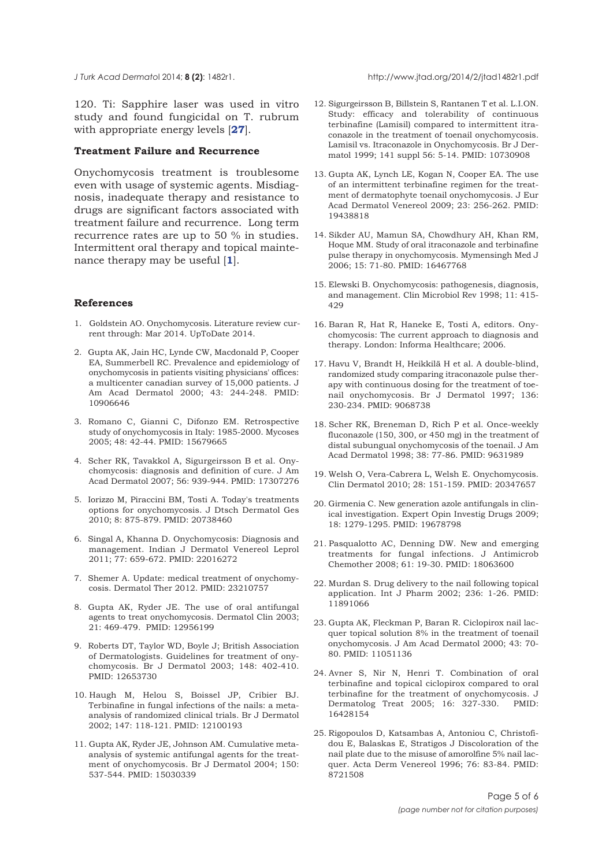*J Turk Acad Dermato*l 2014; **8 (2)**: 1482r1. http://www.jtad.org/2014/2/jtad1482r1.pdf

120. Ti: Sapphire laser was used in vitro study and found fungicidal on T. rubrum with appropriate energy levels [**27**].

# **Treatment Failure and Recurrence**

Onychomycosis treatment is troublesome even with usage of systemic agents. Misdiagnosis, inadequate therapy and resistance to drugs are significant factors associated with treatment failure and recurrence. Long term recurrence rates are up to 50 % in studies. Intermittent oral therapy and topical maintenance therapy may be useful [**1**].

#### **References**

- 1. Goldstein AO. Onychomycosis. Literature review current through: Mar 2014. UpToDate 2014.
- 2. Gupta AK, Jain HC, Lynde CW, Macdonald P, Cooper EA, Summerbell RC. Prevalence and epidemiology of onychomycosis in patients visiting physicians' offices: a multicenter canadian survey of 15,000 patients. J Am Acad Dermatol 2000; 43: 244-248. PMID: 10906646
- 3. Romano C, Gianni C, Difonzo EM. Retrospective study of onychomycosis in Italy: 1985-2000. Mycoses 2005; 48: 42-44. PMID: 15679665
- 4. Scher RK, Tavakkol A, Sigurgeirsson B et al. Onychomycosis: diagnosis and definition of cure. J Am Acad Dermatol 2007; 56: 939-944. PMID: 17307276
- 5. Iorizzo M, Piraccini BM, Tosti A. Today's treatments options for onychomycosis. J Dtsch Dermatol Ges 2010; 8: 875-879. PMID: 20738460
- 6. Singal A, Khanna D. Onychomycosis: Diagnosis and management. Indian J Dermatol Venereol Leprol 2011; 77: 659-672. PMID: 22016272
- 7. Shemer A. Update: medical treatment of onychomycosis. Dermatol Ther 2012. PMID: 23210757
- 8. Gupta AK, Ryder JE. The use of oral antifungal agents to treat onychomycosis. Dermatol Clin 2003; 21: 469-479. PMID: 12956199
- 9. Roberts DT, Taylor WD, Boyle J; British Association of Dermatologists. Guidelines for treatment of onychomycosis. Br J Dermatol 2003; 148: 402-410. PMID: 12653730
- 10. Haugh M, Helou S, Boissel JP, Cribier BJ. Terbinafine in fungal infections of the nails: a metaanalysis of randomized clinical trials. Br J Dermatol 2002; 147: 118-121. PMID: 12100193
- 11. Gupta AK, Ryder JE, Johnson AM. Cumulative metaanalysis of systemic antifungal agents for the treatment of onychomycosis. Br J Dermatol 2004; 150: 537-544. PMID: 15030339
- 12. Sigurgeirsson B, Billstein S, Rantanen T et al. L.I.ON. Study: efficacy and tolerability of continuous terbinafine (Lamisil) compared to intermittent itraconazole in the treatment of toenail onychomycosis. Lamisil vs. Itraconazole in Onychomycosis. Br J Dermatol 1999; 141 suppl 56: 5-14. PMID: 10730908
- 13. Gupta AK, Lynch LE, Kogan N, Cooper EA. The use of an intermittent terbinafine regimen for the treatment of dermatophyte toenail onychomycosis. J Eur Acad Dermatol Venereol 2009; 23: 256-262. PMID: 19438818
- 14. Sikder AU, Mamun SA, Chowdhury AH, Khan RM, Hoque MM. Study of oral itraconazole and terbinafine pulse therapy in onychomycosis. Mymensingh Med J 2006; 15: 71-80. PMID: 16467768
- 15. Elewski B. Onychomycosis: pathogenesis, diagnosis, and management. Clin Microbiol Rev 1998; 11: 415- 429
- 16. Baran R, Hat R, Haneke E, Tosti A, editors. Onychomycosis: The current approach to diagnosis and therapy. London: Informa Healthcare; 2006.
- 17. Havu V, Brandt H, Heikkilä H et al. A double-blind, randomized study comparing itraconazole pulse therapy with continuous dosing for the treatment of toenail onychomycosis. Br J Dermatol 1997; 136: 230-234. PMID: 9068738
- 18. Scher RK, Breneman D, Rich P et al. Once-weekly fluconazole (150, 300, or 450 mg) in the treatment of distal subungual onychomycosis of the toenail. J Am Acad Dermatol 1998; 38: 77-86. PMID: 9631989
- 19. Welsh O, Vera-Cabrera L, Welsh E. Onychomycosis. Clin Dermatol 2010; 28: 151-159. PMID: 20347657
- 20. Girmenia C. New generation azole antifungals in clinical investigation. Expert Opin Investig Drugs 2009; 18: 1279-1295. PMID: 19678798
- 21. Pasqualotto AC, Denning DW. New and emerging treatments for fungal infections. J Antimicrob Chemother 2008; 61: 19-30. PMID: 18063600
- 22. Murdan S. Drug delivery to the nail following topical application. Int J Pharm 2002; 236: 1-26. PMID: 11891066
- 23. Gupta AK, Fleckman P, Baran R. Ciclopirox nail lacquer topical solution 8% in the treatment of toenail onychomycosis. J Am Acad Dermatol 2000; 43: 70- 80. PMID: 11051136
- 24. Avner S, Nir N, Henri T. Combination of oral terbinafine and topical ciclopirox compared to oral terbinafine for the treatment of onychomycosis. J Dermatolog Treat 2005; 16: 327-330. PMID: 16428154
- 25. Rigopoulos D, Katsambas A, Antoniou C, Christofidou E, Balaskas E, Stratigos J Discoloration of the nail plate due to the misuse of amorolfine 5% nail lacquer. Acta Derm Venereol 1996; 76: 83-84. PMID: 8721508